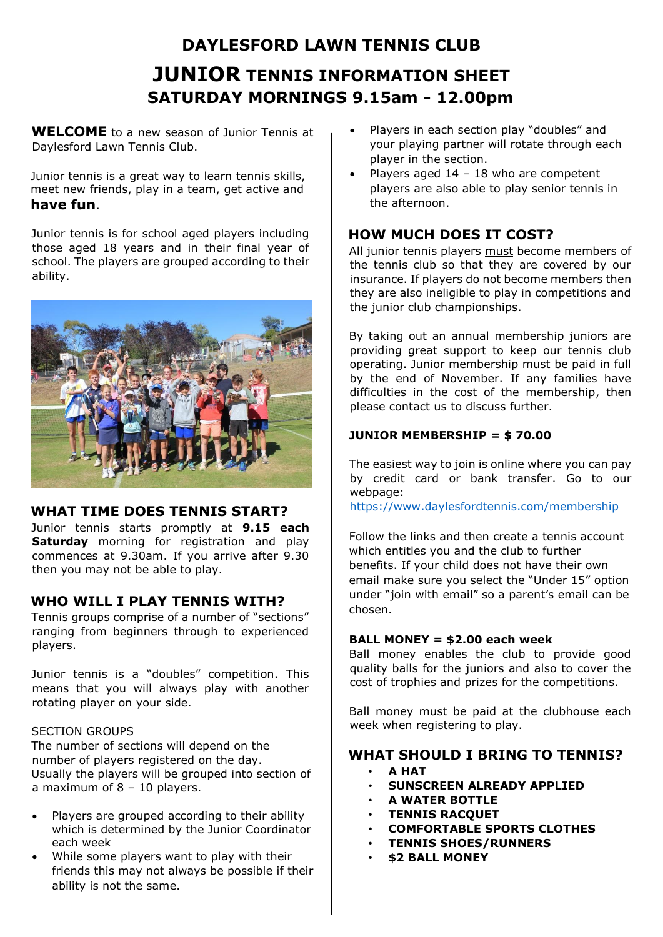# **DAYLESFORD LAWN TENNIS CLUB JUNIOR TENNIS INFORMATION SHEET SATURDAY MORNINGS 9.15am - 12.00pm**

**WELCOME** to a new season of Junior Tennis at Daylesford Lawn Tennis Club.

Junior tennis is a great way to learn tennis skills, meet new friends, play in a team, get active and **have fun**.

Junior tennis is for school aged players including those aged 18 years and in their final year of school. The players are grouped according to their ability.



## **WHAT TIME DOES TENNIS START?**

Junior tennis starts promptly at **9.15 each Saturday** morning for registration and play commences at 9.30am. If you arrive after 9.30 then you may not be able to play.

## **WHO WILL I PLAY TENNIS WITH?**

Tennis groups comprise of a number of "sections" ranging from beginners through to experienced players.

Junior tennis is a "doubles" competition. This means that you will always play with another rotating player on your side.

#### SECTION GROUPS

The number of sections will depend on the number of players registered on the day. Usually the players will be grouped into section of a maximum of 8 – 10 players.

- Players are grouped according to their ability which is determined by the Junior Coordinator each week
- While some players want to play with their friends this may not always be possible if their ability is not the same.
- Players in each section play "doubles" and your playing partner will rotate through each player in the section.
- Players aged  $14 18$  who are competent players are also able to play senior tennis in the afternoon.

## **HOW MUCH DOES IT COST?**

All junior tennis players must become members of the tennis club so that they are covered by our insurance. If players do not become members then they are also ineligible to play in competitions and the junior club championships.

By taking out an annual membership juniors are providing great support to keep our tennis club operating. Junior membership must be paid in full by the end of November. If any families have difficulties in the cost of the membership, then please contact us to discuss further.

## **JUNIOR MEMBERSHIP = \$ 70.00**

The easiest way to join is online where you can pay by credit card or bank transfer. Go to our webpage:

<https://www.daylesfordtennis.com/membership>

Follow the links and then create a tennis account which entitles you and the club to further benefits. If your child does not have their own email make sure you select the "Under 15" option under "join with email" so a parent's email can be chosen.

#### **BALL MONEY = \$2.00 each week**

Ball money enables the club to provide good quality balls for the juniors and also to cover the cost of trophies and prizes for the competitions.

Ball money must be paid at the clubhouse each week when registering to play.

## **WHAT SHOULD I BRING TO TENNIS?**

- **A HAT**
- **SUNSCREEN ALREADY APPLIED**
- **A WATER BOTTLE**
- **TENNIS RACQUET**
- **COMFORTABLE SPORTS CLOTHES**
- **TENNIS SHOES/RUNNERS**
- **\$2 BALL MONEY**